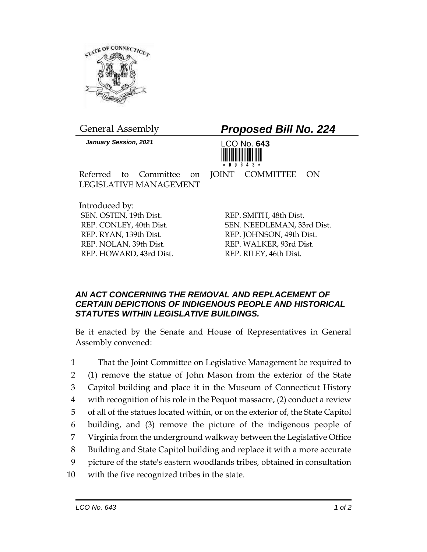

*January Session, 2021* LCO No. **643**

## General Assembly *Proposed Bill No. 224*



Referred to Committee on JOINT COMMITTEE ON LEGISLATIVE MANAGEMENT

Introduced by: SEN. OSTEN, 19th Dist. REP. CONLEY, 40th Dist. REP. RYAN, 139th Dist. REP. NOLAN, 39th Dist. REP. HOWARD, 43rd Dist.

REP. SMITH, 48th Dist. SEN. NEEDLEMAN, 33rd Dist. REP. JOHNSON, 49th Dist. REP. WALKER, 93rd Dist. REP. RILEY, 46th Dist.

## *AN ACT CONCERNING THE REMOVAL AND REPLACEMENT OF CERTAIN DEPICTIONS OF INDIGENOUS PEOPLE AND HISTORICAL STATUTES WITHIN LEGISLATIVE BUILDINGS.*

Be it enacted by the Senate and House of Representatives in General Assembly convened:

 That the Joint Committee on Legislative Management be required to (1) remove the statue of John Mason from the exterior of the State Capitol building and place it in the Museum of Connecticut History with recognition of his role in the Pequot massacre, (2) conduct a review of all of the statues located within, or on the exterior of, the State Capitol building, and (3) remove the picture of the indigenous people of Virginia from the underground walkway between the Legislative Office Building and State Capitol building and replace it with a more accurate picture of the state's eastern woodlands tribes, obtained in consultation with the five recognized tribes in the state.